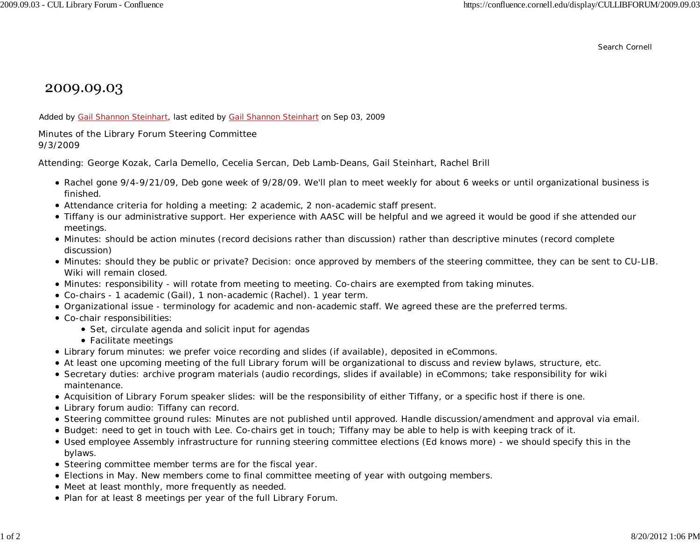Search Cornell

## 2009.09.03

Added by Gail Shannon Steinhart, last edited by Gail Shannon Steinhart on Sep 03, 2009

Minutes of the Library Forum Steering Committee 9/3/2009

Attending: George Kozak, Carla Demello, Cecelia Sercan, Deb Lamb-Deans, Gail Steinhart, Rachel Brill

- Rachel gone 9/4-9/21/09, Deb gone week of 9/28/09. We'll plan to meet weekly for about 6 weeks or until organizational business is finished.
- Attendance criteria for holding a meeting: 2 academic, 2 non-academic staff present.
- Tiffany is our administrative support. Her experience with AASC will be helpful and we agreed it would be good if she attended our meetings.
- Minutes: should be action minutes (record decisions rather than discussion) rather than descriptive minutes (record complete discussion)
- Minutes: should they be public or private? Decision: once approved by members of the steering committee, they can be sent to CU-LIB. Wiki will remain closed.
- Minutes: responsibility will rotate from meeting to meeting. Co-chairs are exempted from taking minutes.
- Co-chairs 1 academic (Gail), 1 non-academic (Rachel). 1 year term.
- Organizational issue terminology for academic and non-academic staff. We agreed these are the preferred terms.
- Co-chair responsibilities:
	- Set, circulate agenda and solicit input for agendas
	- Facilitate meetings
- Library forum minutes: we prefer voice recording and slides (if available), deposited in eCommons.
- At least one upcoming meeting of the full Library forum will be organizational to discuss and review bylaws, structure, etc.
- Secretary duties: archive program materials (audio recordings, slides if available) in eCommons; take responsibility for wiki maintenance.
- Acquisition of Library Forum speaker slides: will be the responsibility of either Tiffany, or a specific host if there is one.
- Library forum audio: Tiffany can record.
- Steering committee ground rules: Minutes are not published until approved. Handle discussion/amendment and approval via email.
- Budget: need to get in touch with Lee. Co-chairs get in touch; Tiffany may be able to help is with keeping track of it.
- Used employee Assembly infrastructure for running steering committee elections (Ed knows more) we should specify this in the bylaws.
- Steering committee member terms are for the fiscal year.
- Elections in May. New members come to final committee meeting of year with outgoing members.
- Meet at least monthly, more frequently as needed.
- Plan for at least 8 meetings per year of the full Library Forum.